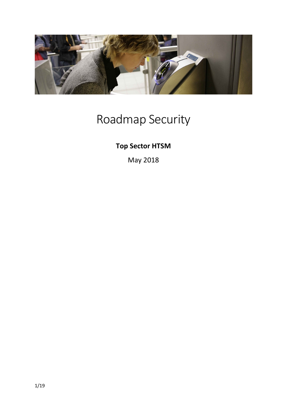

# Roadmap Security

## **Top Sector HTSM**

May 2018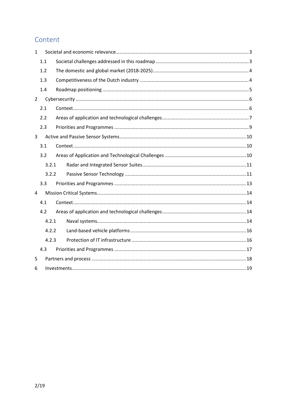## Content

| $\mathbf{1}$   |       |  |  |  |  |  |  |
|----------------|-------|--|--|--|--|--|--|
|                | 1.1   |  |  |  |  |  |  |
|                | 1.2   |  |  |  |  |  |  |
|                | 1.3   |  |  |  |  |  |  |
|                | 1.4   |  |  |  |  |  |  |
| $\overline{2}$ |       |  |  |  |  |  |  |
|                | 2.1   |  |  |  |  |  |  |
|                | 2.2   |  |  |  |  |  |  |
|                | 2.3   |  |  |  |  |  |  |
| 3              |       |  |  |  |  |  |  |
|                | 3.1   |  |  |  |  |  |  |
|                | 3.2   |  |  |  |  |  |  |
|                | 3.2.1 |  |  |  |  |  |  |
|                | 3.2.2 |  |  |  |  |  |  |
|                | 3.3   |  |  |  |  |  |  |
| 4              |       |  |  |  |  |  |  |
| 4.1            |       |  |  |  |  |  |  |
|                | 4.2   |  |  |  |  |  |  |
|                | 4.2.1 |  |  |  |  |  |  |
|                | 4.2.2 |  |  |  |  |  |  |
|                | 4.2.3 |  |  |  |  |  |  |
|                | 4.3   |  |  |  |  |  |  |
| 5              |       |  |  |  |  |  |  |
| 6              |       |  |  |  |  |  |  |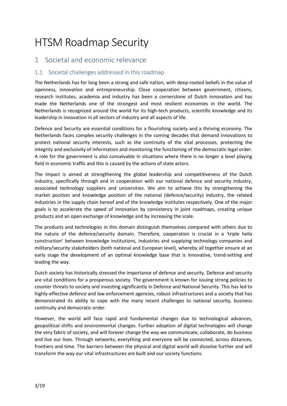## HTSM Roadmap Security

## <span id="page-2-0"></span>1 Societal and economic relevance

#### <span id="page-2-1"></span>1.1 Societal challenges addressed in this roadmap

The Netherlands has for long been a strong and safe nation, with deep-rooted beliefs in the value of openness, innovation and entrepreneurship. Close cooperation between government, citizens, research institutes, academia and industry has been a cornerstone of Dutch innovation and has made the Netherlands one of the strongest and most resilient economies in the world. The Netherlands is recognized around the world for its high-tech products, scientific knowledge and its leadership in innovation in all sectors of industry and all aspects of life.

Defence and Security are essential conditions for a flourishing society and a thriving economy. The Netherlands faces complex security challenges in the coming decades that demand innovations to protect national security interests, such as the continuity of the vital processes, protecting the integrity and exclusivity of information and monitoring the functioning of the democratic legal order. A role for the government is also conceivable in situations where there is no longer a level playing field in economic traffic and this is caused by the actions of state actors.

The impact is aimed at strengthening the global leadership and competitiveness of the Dutch industry, specifically through and in cooperation with our national defence and security industry, associated technology suppliers and universities. We aim to achieve this by strengthening the market position and knowledge position of the national (defence/security) industry, the related industries in the supply chain hereof and of the knowledge institutes respectively. One of the major goals is to accelerate the speed of innovation by consistency in joint roadmaps, creating unique products and an open exchange of knowledge and by increasing the scale.

The products and technologies in this domain distinguish themselves compared with others due to the nature of the defence/security domain. Therefore, cooperation is crucial in a 'triple helix construction' between knowledge institutions, industries and supplying technology companies and military/security stakeholders (both national and European level), whereby all together ensure at an early stage the development of an optimal knowledge base that is innovative, trend-setting and leading the way.

Dutch society has historically stressed the importance of defence and security. Defence and security are vital conditions for a prosperous society. The government is known for issuing strong policies to counter threats to society and investing significantly in Defence and National Security. This has led to highly-effective defence and law enforcement agencies, robust infrastructures and a society that has demonstrated its ability to cope with the many recent challenges to national security, business continuity and democratic order.

However, the world will face rapid and fundamental changes due to technological advances, geopolitical shifts and environmental changes. Further adoption of digital technologies will change the very fabric of society, and will forever change the way we communicate, collaborate, do business and live our lives. Through networks, everything and everyone will be connected, across distances, frontiers and time. The barriers between the physical and digital world will dissolve further and will transform the way our vital infrastructures are built and our society functions.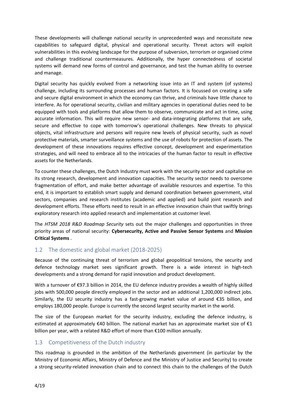These developments will challenge national security in unprecedented ways and necessitate new capabilities to safeguard digital, physical and operational security. Threat actors will exploit vulnerabilities in this evolving landscape for the purpose of subversion, terrorism or organised crime and challenge traditional countermeasures. Additionally, the hyper connectedness of societal systems will demand new forms of control and governance, and test the human ability to oversee and manage.

Digital security has quickly evolved from a networking issue into an IT and system (of systems) challenge, including its surrounding processes and human factors. It is focussed on creating a safe and secure digital environment in which the economy can thrive, and criminals have little chance to interfere. As for operational security, civilian and military agencies in operational duties need to be equipped with tools and platforms that allow them to observe, communicate and act in time, using accurate information. This will require new sensor- and data-integrating platforms that are safe, secure and effective to cope with tomorrow's operational challenges. New threats to physical objects, vital infrastructure and persons will require new levels of physical security, such as novel protective materials, smarter surveillance systems and the use of robots for protection of assets. The development of these innovations requires effective concept, development and experimentation strategies, and will need to embrace all to the intricacies of the human factor to result in effective assets for the Netherlands.

To counter these challenges, the Dutch Industry must work with the security sector and capitalise on its strong research, development and innovation capacities. The security sector needs to overcome fragmentation of effort, and make better advantage of available resources and expertise. To this end, it is important to establish smart supply and demand coordination between government, vital sectors, companies and research institutes (academic and applied) and build joint research and development efforts. These efforts need to result in an effective innovation chain that swiftly brings exploratory research into applied research and implementation at customer level.

The *HTSM 2018 R&D Roadmap Security* sets out the major challenges and opportunities in three priority areas of national security: **Cybersecurity, Active and Passive Sensor Systems** and **Mission Critical Systems** .

#### <span id="page-3-0"></span>1.2 The domestic and global market (2018-2025)

Because of the continuing threat of terrorism and global geopolitical tensions, the security and defence technology market sees significant growth. There is a wide interest in high-tech developments and a strong demand for rapid innovation and product development.

With a turnover of €97.3 billion in 2014, the EU defence industry provides a wealth of highly skilled jobs with 500,000 people directly employed in the sector and an additional 1,200,000 indirect jobs. Similarly, the EU security industry has a fast-growing market value of around €35 billion, and employs 180,000 people. Europe is currently the second largest security market in the world.

The size of the European market for the security industry, excluding the defence industry, is estimated at approximately  $\epsilon$ 40 billion. The national market has an approximate market size of  $\epsilon$ 1 billion per year, with a related R&D effort of more than €100 million annually.

#### <span id="page-3-1"></span>1.3 Competitiveness of the Dutch industry

This roadmap is grounded in the ambition of the Netherlands government (in particular by the Ministry of Economic Affairs, Ministry of Defence and the Ministry of Justice and Security) to create a strong security-related innovation chain and to connect this chain to the challenges of the Dutch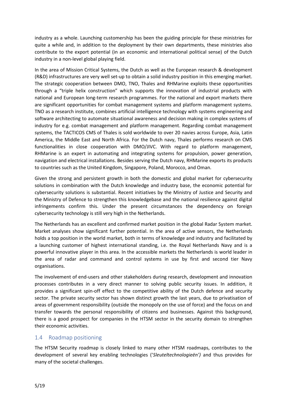industry as a whole. Launching customership has been the guiding principle for these ministries for quite a while and, in addition to the deployment by their own departments, these ministries also contribute to the export potential (in an economic and international political sense) of the Dutch industry in a non-level global playing field.

In the area of Mission Critical Systems, the Dutch as well as the European research & development (R&D) infrastructures are very well set-up to obtain a solid industry position in this emerging market. The strategic cooperation between DMO, TNO, Thales and RHMarine exploits these opportunities through a "triple helix construction" which supports the innovation of industrial products with national and European long-term research programmes. For the national and export markets there are significant opportunities for combat management systems and platform management systems. TNO as a research institute, combines artificial intelligence technology with systems engineering and software architecting to automate situational awareness and decision making in complex systems of industry for e.g. combat management and platform management. Regarding combat management systems, the TACTICOS CMS of Thales is sold worldwide to over 20 navies across Europe, Asia, Latin America, the Middle East and North Africa. For the Dutch navy, Thales performs research on CMS functionalities in close cooperation with DMO/JIVC. With regard to platform management, RHMarine is an expert in automating and integrating systems for propulsion, power generation, navigation and electrical installations. Besides serving the Dutch navy, RHMarine exports its products to countries such as the United Kingdom, Singapore, Poland, Morocco, and Oman.

Given the strong and persistent growth in both the domestic and global market for cybersecurity solutions in combination with the Dutch knowledge and industry base, the economic potential for cybersecurity solutions is substantial. Recent initiatives by the Ministry of Justice and Security and the Ministry of Defence to strengthen this knowledgebase and the national resilience against digital infringements confirm this. Under the present circumstances the dependency on foreign cybersecurity technology is still very high in the Netherlands.

The Netherlands has an excellent and confirmed market position in the global Radar System market. Market analyses show significant further potential. In the area of active sensors, the Netherlands holds a top position in the world market, both in terms of knowledge and industry and facilitated by a launching customer of highest international standing, i.e. the Royal Netherlands Navy and is a powerful innovative player in this area. In the accessible markets the Netherlands is world leader in the area of radar and command and control systems in use by first and second tier Navy organisations.

The involvement of end-users and other stakeholders during research, development and innovation processes contributes in a very direct manner to solving public security issues. In addition, it provides a significant spin-off effect to the competitive ability of the Dutch defence and security sector. The private security sector has shown distinct growth the last years, due to privatisation of areas of government responsibility (outside the monopoly on the use of force) and the focus on and transfer towards the personal responsibility of citizens and businesses. Against this background, there is a good prospect for companies in the HTSM sector in the security domain to strengthen their economic activities.

#### <span id="page-4-0"></span>1.4 Roadmap positioning

The HTSM Security roadmap is closely linked to many other HTSM roadmaps, contributes to the development of several key enabling technologies ('*Sleuteltechnologieën')* and thus provides for many of the societal challenges.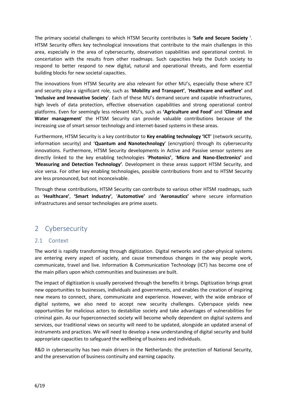The primary societal challenges to which HTSM Security contributes is **'Safe and Secure Society** '. HTSM Security offers key technological innovations that contribute to the main challenges in this area, especially in the area of cybersecurity, observation capabilities and operational control. In concertation with the results from other roadmaps. Such capacities help the Dutch society to respond to better respond to new digital, natural and operational threats, and form essential building blocks for new societal capacities.

The innovations from HTSM Security are also relevant for other MU's, especially those where ICT and security play a significant role, such as '**Mobility and Transport'**, '**Healthcare and welfare'** and '**Inclusive and Innovative Society**'. Each of these MU's demand secure and capable infrastructures, high levels of data protection, effective observation capabilities and strong operational control platforms. Even for seemingly less relevant MU's, such as **'Agriculture and Food'** and '**Climate and Water management**' the HTSM Security can provide valuable contributions because of the increasing use of smart sensor technology and internet-based systems in these areas.

Furthermore, HTSM Security is a key contributor to **Key enabling technology 'ICT**' (network security, information security) and '**Quantum and Nanotechnology**' (encryption) through its cybersecurity innovations. Furthermore, HTSM Security developments in Active and Passive sensor systems are directly linked to the key enabling technologies '**Photonics'**, '**Micro and Nano-Electronics'** and '**Measuring and Detection Technology'**. Development in these areas support HTSM Security, and vice versa. For other key enabling technologies, possible contributions from and to HTSM Security are less pronounced, but not inconceivable.

Through these contributions, HTSM Security can contribute to various other HTSM roadmaps, such as '**Healthcare'**, **'Smart Industry'**, '**Automotive'** and '**Aeronautics'** where secure information infrastructures and sensor technologies are prime assets.

### <span id="page-5-0"></span>2 Cybersecurity

#### <span id="page-5-1"></span>2.1 Context

The world is rapidly transforming through digitization. Digital networks and cyber-physical systems are entering every aspect of society, and cause tremendous changes in the way people work, communicate, travel and live. Information & Communication Technology (ICT) has become one of the main pillars upon which communities and businesses are built.

The impact of digitization is usually perceived through the benefits it brings. Digitization brings great new opportunities to businesses, individuals and governments, and enables the creation of inspiring new means to connect, share, communicate and experience. However, with the wide embrace of digital systems, we also need to accept new security challenges. Cyberspace yields new opportunities for malicious actors to destabilize society and take advantages of vulnerabilities for criminal gain. As our hyperconnected society will become wholly dependent on digital systems and services, our traditional views on security will need to be updated, alongside an updated arsenal of instruments and practices. We will need to develop a new understanding of digital security and build appropriate capacities to safeguard the wellbeing of business and individuals.

R&D in cybersecurity has two main drivers in the Netherlands: the protection of National Security, and the preservation of business continuity and earning capacity.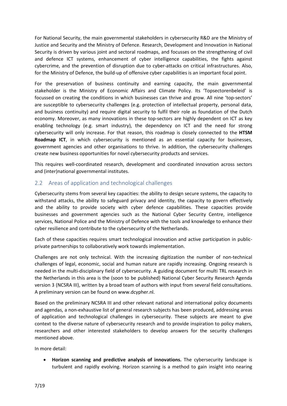For National Security, the main governmental stakeholders in cybersecurity R&D are the Ministry of Justice and Security and the Ministry of Defence. Research, Development and Innovation in National Security is driven by various joint and sectoral roadmaps, and focusses on the strengthening of civil and defence ICT systems, enhancement of cyber intelligence capabilities, the fights against cybercrime, and the prevention of disruption due to cyber-attacks on critical infrastructures. Also, for the Ministry of Defence, the build-up of offensive cyber capabilities is an important focal point.

For the preservation of business continuity and earning capacity, the main governmental stakeholder is the Ministry of Economic Affairs and Climate Policy. Its 'Topsectorenbeleid' is focussed on creating the conditions in which businesses can thrive and grow. All nine 'top-sectors' are susceptible to cybersecurity challenges (e.g. protection of intellectual property, personal data, and business continuity) and require digital security to fulfil their role as foundation of the Dutch economy. Moreover, as many innovations in these top-sectors are highly dependent on ICT as key enabling technology (e.g. smart industry), the dependency on ICT and the need for strong cybersecurity will only increase. For that reason, this roadmap is closely connected to the **HTSM Roadmap ICT**, in which cybersecurity is mentioned as an essential capacity for businesses, government agencies and other organisations to thrive. In addition, the cybersecurity challenges create new business opportunities for novel cybersecurity products and services.

This requires well-coordinated research, development and coordinated innovation across sectors and (inter)national governmental institutes.

#### <span id="page-6-0"></span>2.2 Areas of application and technological challenges

Cybersecurity stems from several key capacities: the ability to design secure systems, the capacity to withstand attacks, the ability to safeguard privacy and identity, the capacity to govern effectively and the ability to provide society with cyber defence capabilities. These capacities provide businesses and government agencies such as the National Cyber Security Centre, intelligence services, National Police and the Ministry of Defence with the tools and knowledge to enhance their cyber resilience and contribute to the cybersecurity of the Netherlands.

Each of these capacities requires smart technological innovation and active participation in publicprivate partnerships to collaboratively work towards implementation.

Challenges are not only technical. With the increasing digitization the number of non-technical challenges of legal, economic, social and human nature are rapidly increasing. Ongoing research is needed in the multi-disciplinary field of cybersecurity. A guiding document for multi TRL research in the Netherlands in this area is the (soon to be published) National Cyber Security Research Agenda version 3 (NCSRA III), written by a broad team of authors with input from several field consultations. A preliminary version can be found on www.dcypher.nl.

Based on the preliminary NCSRA III and other relevant national and international policy documents and agendas, a non-exhaustive list of general research subjects has been produced, addressing areas of application and technological challenges in cybersecurity. These subjects are meant to give context to the diverse nature of cybersecurity research and to provide inspiration to policy makers, researchers and other interested stakeholders to develop answers for the security challenges mentioned above.

In more detail:

• **Horizon scanning and predictive analysis of innovations.** The cybersecurity landscape is turbulent and rapidly evolving. Horizon scanning is a method to gain insight into nearing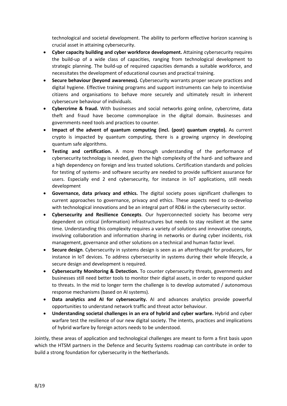technological and societal development. The ability to perform effective horizon scanning is crucial asset in attaining cybersecurity.

- **Cyber capacity building and cyber workforce development.** Attaining cybersecurity requires the build-up of a wide class of capacities, ranging from technological development to strategic planning. The build-up of required capacities demands a suitable workforce, and necessitates the development of educational courses and practical training.
- **Secure behaviour (beyond awareness).** Cybersecurity warrants proper secure practices and digital hygiene. Effective training programs and support instruments can help to incentivise citizens and organisations to behave more securely and ultimately result in inherent cybersecure behaviour of individuals.
- **Cybercrime & fraud.** With businesses and social networks going online, cybercrime, data theft and fraud have become commonplace in the digital domain. Businesses and governments need tools and practices to counter.
- **Impact of the advent of quantum computing (incl. (post) quantum crypto).** As current crypto is impacted by quantum computing, there is a growing urgency in developing quantum safe algorithms.
- **Testing and certification.** A more thorough understanding of the performance of cybersecurity technology is needed, given the high complexity of the hard- and software and a high dependency on foreign and less trusted solutions. Certification standards and policies for testing of systems- and software security are needed to provide sufficient assurance for users. Especially end 2 end cybersecurity, for instance in IoT applications, still needs development
- **Governance, data privacy and ethics.** The digital society poses significant challenges to current approaches to governance, privacy and ethics. These aspects need to co-develop with technological innovations and be an integral part of RD&I in the cybersecurity sector.
- **Cybersecurity and Resilience Concepts**. Our hyperconnected society has become very dependent on critical (information) infrastructures but needs to stay resilient at the same time. Understanding this complexity requires a variety of solutions and innovative concepts, involving collaboration and information sharing in networks or during cyber incidents, risk management, governance and other solutions on a technical and human factor level.
- **Secure design**. Cybersecurity in systems design is seen as an afterthought for producers, for instance in IoT devices. To address cybersecurity in systems during their whole lifecycle, a secure design and development is required.
- **Cybersecurity Monitoring & Detection.** To counter cybersecurity threats, governments and businesses still need better tools to monitor their digital assets, in order to respond quicker to threats. In the mid to longer term the challenge is to develop automated / autonomous response mechanisms (based on AI systems).
- **Data analytics and AI for cybersecurity.** AI and advances analytics provide powerful opportunities to understand network traffic and threat actor behaviour.
- **Understanding societal challenges in an era of hybrid and cyber warfare.** Hybrid and cyber warfare test the resilience of our new digital society. The intents, practices and implications of hybrid warfare by foreign actors needs to be understood.

Jointly, these areas of application and technological challenges are meant to form a first basis upon which the HTSM partners in the Defence and Security Systems roadmap can contribute in order to build a strong foundation for cybersecurity in the Netherlands.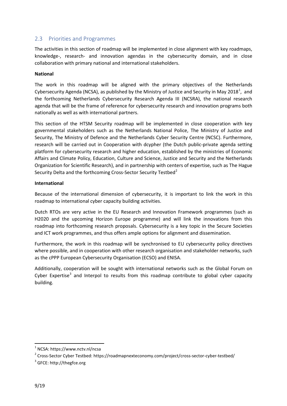#### <span id="page-8-0"></span>2.3 Priorities and Programmes

The activities in this section of roadmap will be implemented in close alignment with key roadmaps, knowledge-, research- and innovation agendas in the cybersecurity domain, and in close collaboration with primary national and international stakeholders.

#### **National**

The work in this roadmap will be aligned with the primary objectives of the Netherlands Cybersecurity Agenda (NCSA), as published by the Ministry of Justice and Security in May 20[1](#page-8-1)8<sup>1</sup>, and the forthcoming Netherlands Cybersecurity Research Agenda III (NCSRA), the national research agenda that will be the frame of reference for cybersecurity research and innovation programs both nationally as well as with international partners.

This section of the HTSM Security roadmap will be implemented in close cooperation with key governmental stakeholders such as the Netherlands National Police, The Ministry of Justice and Security, The Ministry of Defence and the Netherlands Cyber Security Centre (NCSC). Furthermore, research will be carried out in Cooperation with dcypher (the Dutch public-private agenda setting platform for cybersecurity research and higher education, established by the ministries of Economic Affairs and Climate Policy, Education, Culture and Science, Justice and Security and the Netherlands Organization for Scientific Research), and in partnership with centers of expertise, such as The Hague Security Delta and the forthcoming Cross-Sector Security Testbed<sup>[2](#page-8-2)</sup>

#### **International**

Because of the international dimension of cybersecurity, it is important to link the work in this roadmap to international cyber capacity building activities.

Dutch RTOs are very active in the EU Research and Innovation Framework programmes (such as H2020 and the upcoming Horizon Europe programme) and will link the innovations from this roadmap into forthcoming research proposals. Cybersecurity is a key topic in the Secure Societies and ICT work programmes, and thus offers ample options for alignment and dissemination.

Furthermore, the work in this roadmap will be synchronised to EU cybersecurity policy directives where possible, and in cooperation with other research organisation and stakeholder networks, such as the cPPP European Cybersecurity Organisation (ECSO) and ENISA.

Additionally, cooperation will be sought with international networks such as the Global Forum on Cyber Expertise<sup>[3](#page-8-3)</sup> and Interpol to results from this roadmap contribute to global cyber capacity building.

**.** 

<span id="page-8-1"></span><sup>1</sup> NCSA: https://www.nctv.nl/ncsa

<span id="page-8-2"></span><sup>2</sup> Cross-Sector Cyber Testbed: https://roadmapnexteconomy.com/project/cross-sector-cyber-testbed/

<span id="page-8-3"></span><sup>3</sup> GFCE: http://thegfce.org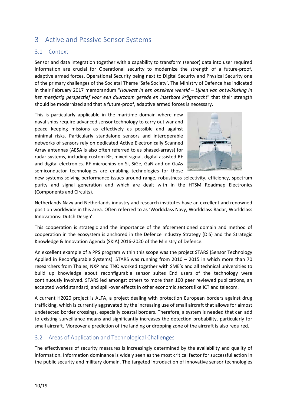## <span id="page-9-0"></span>3 Active and Passive Sensor Systems

#### <span id="page-9-1"></span>3.1 Context

Sensor and data integration together with a capability to transform (sensor) data into user required information are crucial for Operational security to modernize the strength of a future-proof, adaptive armed forces. Operational Security being next to Digital Security and Physical Security one of the primary challenges of the Societal Theme 'Safe Society'. The Ministry of Defence has indicated in their February 2017 memorandum "*Houvast in een onzekere wereld – Lijnen van ontwikkeling in het meerjarig perspectief voor een duurzaam gerede en inzetbare krijgsmacht*" that their strength should be modernized and that a future-proof, adaptive armed forces is necessary.

This is particularly applicable in the maritime domain where new naval ships require advanced sensor technology to carry out war and peace keeping missions as effectively as possible and against minimal risks. Particularly standalone sensors and interoperable networks of sensors rely on dedicated Active Electronically Scanned Array antennas (AESA is also often referred to as phased-arrays) for radar systems, including custom RF, mixed-signal, digital assisted RF and digital electronics. RF microchips on Si, SiGe, GaN and on GaAs semiconductor technologies are enabling technologies for those



new systems solving performance issues around range, robustness selectivity, efficiency, spectrum purity and signal generation and which are dealt with in the HTSM Roadmap Electronics (Components and Circuits).

Netherlands Navy and Netherlands industry and research institutes have an excellent and renowned position worldwide in this area. Often referred to as 'Worldclass Navy, Worldclass Radar, Worldclass Innovations: Dutch Design'.

This cooperation is strategic and the importance of the aforementioned domain and method of cooperation in the ecosystem is anchored in the Defence Industry Strategy (DIS) and the Strategic Knowledge & Innovation Agenda (SKIA) 2016-2020 of the Ministry of Defence.

An excellent example of a PPS program within this scope was the project STARS (Sensor Technology Applied in Reconfigurable Systems). STARS was running from 2010 – 2015 in which more than 70 researchers from Thales, NXP and TNO worked together with SME's and all technical universities to build up knowledge about reconfigurable sensor suites End users of the technology were continuously involved. STARS led amongst others to more than 100 peer reviewed publications, an accepted world standard, and spill-over effects in other economic sectors like ICT and telecom.

A current H2020 project is ALFA, a project dealing with protection European borders against drug trafficking, which is currently aggravated by the increasing use of small aircraft that allows for almost undetected border crossings, especially coastal borders. Therefore, a system is needed that can add to existing surveillance means and significantly increases the detection probability, particularly for small aircraft. Moreover a prediction of the landing or dropping zone of the aircraft is also required.

#### <span id="page-9-2"></span>3.2 Areas of Application and Technological Challenges

The effectiveness of security measures is increasingly determined by the availability and quality of information. Information dominance is widely seen as the most critical factor for successful action in the public security and military domain. The targeted introduction of innovative sensor technologies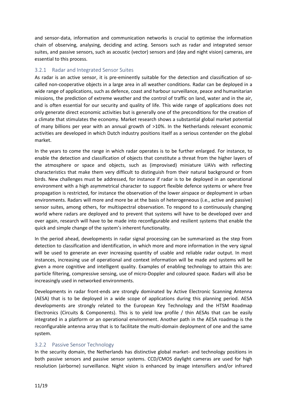and sensor-data, information and communication networks is crucial to optimise the information chain of observing, analysing, deciding and acting. Sensors such as radar and integrated sensor suites, and passive sensors, such as acoustic (vector) sensors and (day and night vision) cameras, are essential to this process.

#### <span id="page-10-0"></span>3.2.1 Radar and Integrated Sensor Suites

As radar is an active sensor, it is pre-eminently suitable for the detection and classification of socalled non-cooperative objects in a large area in all weather conditions. Radar can be deployed in a wide range of applications, such as defence, coast and harbour surveillance, peace and humanitarian missions, the prediction of extreme weather and the control of traffic on land, water and in the air, and is often essential for our security and quality of life. This wide range of applications does not only generate direct economic activities but is generally one of the preconditions for the creation of a climate that stimulates the economy. Market research shows a substantial global market potential of many billions per year with an annual growth of >10%. In the Netherlands relevant economic activities are developed in which Dutch industry positions itself as a serious contender on the global market.

In the years to come the range in which radar operates is to be further enlarged. For instance, to enable the detection and classification of objects that constitute a threat from the higher layers of the atmosphere or space and objects, such as (improvised) miniature UAVs with reflecting characteristics that make them very difficult to distinguish from their natural background or from birds. New challenges must be addressed, for instance if radar is to be deployed in an operational environment with a high asymmetrical character to support flexible defence systems or where free propagation is restricted, for instance the observation of the lower airspace or deployment in urban environments. Radars will more and more be at the basis of heterogeneous (i.e., active and passive) sensor suites, among others, for multispectral observation. To respond to a continuously changing world where radars are deployed and to prevent that systems will have to be developed over and over again, research will have to be made into reconfigurable and resilient systems that enable the quick and simple change of the system's inherent functionality.

In the period ahead, developments in radar signal processing can be summarized as the step from detection to classification and identification, in which more and more information in the very signal will be used to generate an ever increasing quantity of usable and reliable radar output. In most instances, increasing use of operational and context information will be made and systems will be given a more cognitive and intelligent quality. Examples of enabling technology to attain this are: particle filtering, compressive sensing, use of micro-Doppler and coloured space. Radars will also be increasingly used in networked environments.

Developments in radar front-ends are strongly dominated by Active Electronic Scanning Antenna (AESA) that is to be deployed in a wide scope of applications during this planning period. AESA developments are strongly related to the European Key Technology and the HTSM Roadmap Electronics (Circuits & Components). This is to yield low profile / thin AESAs that can be easily integrated in a platform or an operational environment. Another path in the AESA roadmap is the reconfigurable antenna array that is to facilitate the multi-domain deployment of one and the same system.

#### <span id="page-10-1"></span>3.2.2 Passive Sensor Technology

In the security domain, the Netherlands has distinctive global market- and technology positions in both passive sensors and passive sensor systems. CCD/CMOS daylight cameras are used for high resolution (airborne) surveillance. Night vision is enhanced by image intensifiers and/or infrared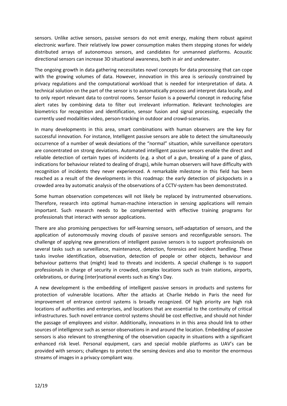sensors. Unlike active sensors, passive sensors do not emit energy, making them robust against electronic warfare. Their relatively low power consumption makes them stepping stones for widely distributed arrays of autonomous sensors, and candidates for unmanned platforms. Acoustic directional sensors can increase 3D situational awareness, both in air and underwater.

The ongoing growth in data gathering necessitates novel concepts for data processing that can cope with the growing volumes of data. However, innovation in this area is seriously constrained by privacy regulations and the computational workload that is needed for interpretation of data. A technical solution on the part of the sensor is to automatically process and interpret data locally, and to only report relevant data to control rooms. Sensor fusion is a powerful concept in reducing false alert rates by combining data to filter out irrelevant information. Relevant technologies are biometrics for recognition and identification, sensor fusion and signal processing, especially the currently used modalities video, person-tracking in outdoor and crowd-scenarios.

In many developments in this area, smart combinations with human observers are the key for successful innovation. For instance, Intelligent passive sensors are able to detect the simultaneously occurrence of a number of weak deviations of the "normal" situation, while surveillance operators are concentrated on strong deviations. Automated intelligent passive sensors enable the direct and reliable detection of certain types of incidents (e.g. a shot of a gun, breaking of a pane of glass, indications for behaviour related to dealing of drugs), while human observers will have difficulty with recognition of incidents they never experienced. A remarkable milestone in this field has been reached as a result of the developments in this roadmap: the early detection of pickpockets in a crowded area by automatic analysis of the observations of a CCTV-system has been demonstrated.

Some human observation competences will not likely be replaced by instrumented observations. Therefore, research into optimal human-machine interaction in sensing applications will remain important. Such research needs to be complemented with effective training programs for professionals that interact with sensor applications.

There are also promising perspectives for self-learning sensors, self-adaptation of sensors, and the application of autonomously moving clouds of passive sensors and reconfigurable sensors. The challenge of applying new generations of intelligent passive sensors is to support professionals on several tasks such as surveillance, maintenance, detection, forensics and incident handling. These tasks involve identification, observation, detection of people or other objects, behaviour and behaviour patterns that (might) lead to threats and incidents. A special challenge is to support professionals in charge of security in crowded, complex locations such as train stations, airports, celebrations, or during (inter)national events such as King's Day.

A new development is the embedding of intelligent passive sensors in products and systems for protection of vulnerable locations. After the attacks at Charlie Hebdo in Paris the need for improvement of entrance control systems is broadly recognized. Of high priority are high risk locations of authorities and enterprises, and locations that are essential to the continuity of critical infrastructures. Such novel entrance control systems should be cost effective, and should not hinder the passage of employees and visitor. Additionally, innovations in in this area should link to other sources of intelligence such as sensor observations in and around the location. Embedding of passive sensors is also relevant to strengthening of the observation capacity in situations with a significant enhanced risk level. Personal equipment, cars and special mobile platforms as UAV's can be provided with sensors; challenges to protect the sensing devices and also to monitor the enormous streams of images in a privacy compliant way.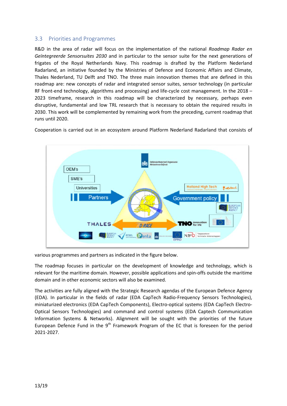#### <span id="page-12-0"></span>3.3 Priorities and Programmes

R&D in the area of radar will focus on the implementation of the national *Roadmap Radar en Geïntegreerde Sensorsuites 2030* and in particular to the sensor suite for the next generations of frigates of the Royal Netherlands Navy. This roadmap is drafted by the Platform Nederland Radarland, an initiative founded by the Ministries of Defence and Economic Affairs and Climate, Thales Nederland, TU Delft and TNO. The three main innovation themes that are defined in this roadmap are: new concepts of radar and integrated sensor suites, sensor technology (in particular RF front-end technology, algorithms and processing) and life-cycle cost management. In the 2018 – 2023 timeframe, research in this roadmap will be characterized by necessary, perhaps even disruptive, fundamental and low TRL research that is necessary to obtain the required results in 2030. This work will be complemented by remaining work from the preceding, current roadmap that runs until 2020.

Cooperation is carried out in an ecosystem around Platform Nederland Radarland that consists of



various programmes and partners as indicated in the figure below.

The roadmap focuses in particular on the development of knowledge and technology, which is relevant for the maritime domain. However, possible applications and spin-offs outside the maritime domain and in other economic sectors will also be examined.

The activities are fully aligned with the Strategic Research agendas of the European Defence Agency (EDA). In particular in the fields of radar (EDA CapTech Radio-Frequency Sensors Technologies), miniaturized electronics (EDA CapTech Components), Electro-optical systems (EDA CapTech Electro-Optical Sensors Technologies) and command and control systems (EDA Captech Communication Information Systems & Networks). Alignment will be sought with the priorities of the future European Defence Fund in the  $9<sup>th</sup>$  Framework Program of the EC that is foreseen for the period 2021-2027.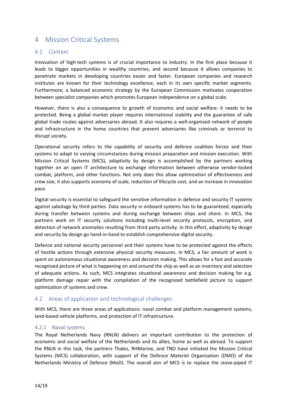## <span id="page-13-0"></span>4 Mission Critical Systems

#### <span id="page-13-1"></span>4.1 Context

Innovation of high-tech systems is of crucial importance to industry. In the first place because it leads to bigger opportunities in wealthy countries, and second because it allows companies to penetrate markets in developing countries easier and faster. European companies and research institutes are known for their technology excellence, each in its own specific market segments. Furthermore, a balanced economic strategy by the European Commission motivates cooperation between specialist companies which promotes European independence on a global scale.

However, there is also a consequence to growth of economic and social welfare: it needs to be protected. Being a global market player requires international stability and the guarantee of safe global trade routes against adversaries abroad. It also requires a well-organised network of people and infrastructure in the home countries that prevent adversaries like criminals or terrorist to disrupt society.

Operational security refers to the capability of security and defence coalition forces and their systems to adapt to varying circumstances during mission preparation and mission execution. With Mission Critical Systems (MCS), adaptivity by design is accomplished by the partners working together on an open IT architecture to exchange information between otherwise vendor-locked combat, platform, and other functions. Not only does this allow optimization of effectiveness and crew size, it also supports economy of scale, reduction of lifecycle cost, and an increase in innovation pace.

Digital security is essential to safeguard the sensitive information in defence and security IT systems against sabotage by third parties. Data security in onboard systems has to be guaranteed, especially during transfer between systems and during exchange between ships and shore. In MCS, the partners work on IT security solutions including multi-level security protocols, encryption, and detection of network anomalies resulting from third party activity. In this effort, adaptivity by design and security by design go hand-in-hand to establish comprehensive digital security.

Defence and national security personnel and their systems have to be protected against the effects of hostile actions through extensive physical security measures. In MCS, a fair amount of work is spent on autonomous situational awareness and decision making. This allows for a fast and accurate recognised picture of what is happening on and around the ship as well as an inventory and selection of adequate actions. As such, MCS integrates situational awareness and decision making for e.g. platform damage repair with the compilation of the recognized battlefield picture to support optimization of systems and crew.

#### <span id="page-13-2"></span>4.2 Areas of application and technological challenges

With MCS, there are three areas of applications: naval combat and platform management systems, land-based vehicle platforms, and protection of IT infrastructure.

#### <span id="page-13-3"></span>4.2.1 Naval systems

The Royal Netherlands Navy (RNLN) delivers an important contribution to the protection of economic and social welfare of the Netherlands and its allies, home as well as abroad. To support the RNLN in this task, the partners Thales, RHMarine, and TNO have initiated the Mission Critical Systems (MCS) collaboration, with support of the Defence Materiel Organisation (DMO) of the Netherlands Ministry of Defence (MoD). The overall aim of MCS is to replace the stove-piped IT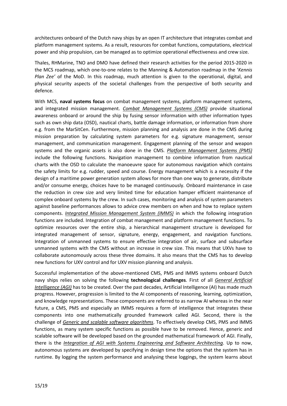architectures onboard of the Dutch navy ships by an open IT architecture that integrates combat and platform management systems. As a result, resources for combat functions, computations, electrical power and ship propulsion, can be managed as to optimize operational effectiveness and crew size.

Thales, RHMarine, TNO and DMO have defined their research activities for the period 2015-2020 in the MCS roadmap, which one-to-one relates to the Manning & Automation roadmap in the '*Kennis Plan Zee'* of the MoD. In this roadmap, much attention is given to the operational, digital, and physical security aspects of the societal challenges from the perspective of both security and defence.

With MCS, **naval systems focus** on combat management systems, platform management systems, and integrated mission management. *Combat Management Systems (CMS)* provide situational awareness onboard or around the ship by fusing sensor information with other information types such as own ship data (OSD), nautical charts, battle damage information, or information from shore e.g. from the MarSitCen. Furthermore, mission planning and analysis are done in the CMS during mission preparation by calculating system parameters for e.g. signature management, sensor management, and communication management. Engagement planning of the sensor and weapon systems and the organic assets is also done in the CMS. *Platform Management Systems (PMS)* include the following functions. Navigation management to combine information from nautical charts with the OSD to calculate the manoeuvre space for autonomous navigation which contains the safety limits for e.g. rudder, speed and course. Energy management which is a necessity if the design of a maritime power generation system allows for more than one way to generate, distribute and/or consume energy, choices have to be managed continuously. Onboard maintenance in case the reduction in crew size and very limited time for education hamper efficient maintenance of complex onboard systems by the crew. In such cases, monitoring and analysis of system parameters against baseline performances allows to advice crew members on when and how to replace system components. *Integrated Mission Management System (IMMS)* in which the following integration functions are included. Integration of combat management and platform management functions. To optimize resources over the entire ship, a hierarchical management structure is developed for integrated management of sensor, signature, energy, engagement, and navigation functions. Integration of unmanned systems to ensure effective integration of air, surface and subsurface unmanned systems with the CMS without an increase in crew size. This means that UXVs have to collaborate autonomously across these three domains. It also means that the CMS has to develop new functions for UXV control and for UXV mission planning and analysis.

Successful implementation of the above-mentioned CMS, PMS and IMMS systems onboard Dutch navy ships relies on solving the following **technological challenges**. First of all *General Artificial Intelligence (AGI)* has to be created. Over the past decades, Artificial Intelligence (AI) has made much progress. However, progression is limited to the AI components of reasoning, learning, optimization, and knowledge representations. These components are referred to as narrow AI whereas in the near future, a CMS, PMS and especially an IMMS requires a form of intelligence that integrates these components into one mathematically grounded framework called AGI. Second, there is the challenge of *Generic and scalable software algorithms*. To effectively develop CMS, PMS and IMMS functions, as many system specific functions as possible have to be removed. Hence, generic and scalable software will be developed based on the grounded mathematical framework of AGI. Finally, there is the *Integration of AGI with Systems Engineering and Software Architecting*. Up to now, autonomous systems are developed by specifying in design time the options that the system has in runtime. By logging the system performance and analysing these loggings, the system learns about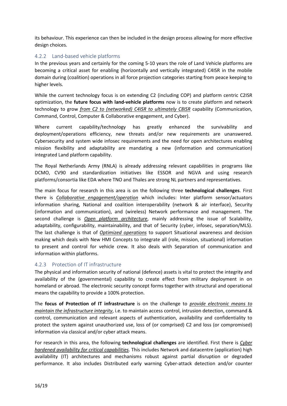its behaviour. This experience can then be included in the design process allowing for more effective design choices.

#### <span id="page-15-0"></span>4.2.2 Land-based vehicle platforms

In the previous years and certainly for the coming 5-10 years the role of Land Vehicle platforms are becoming a critical asset for enabling (horizontally and vertically integrated) C4ISR in the mobile domain during (coalition) operations in all force projection categories starting from peace keeping to higher levels.

While the current technology focus is on extending C2 (including COP) and platform centric C2ISR optimization, the **future focus with land-vehicle platforms** now is to create platform and network technology to grow *from C2 to (networked) C4ISR to ultimately C8ISR* capability (Communication, Command, Control, Computer & Collaborative engagement, and Cyber).

Where current capability/technology has greatly enhanced the survivability and deployment/operations efficiency, new threats and/or new requirements are unanswered. Cybersecurity and system wide infosec requirements and the need for open architectures enabling mission flexibility and adaptability are mandating a new (information and communication) integrated Land platform capability.

The Royal Netherlands Army (RNLA) is already addressing relevant capabilities in programs like DCMO, CV90 and standardization initiatives like ESSOR and NGVA and using research platforms/consortia like EDA where TNO and Thales are strong NL partners and representatives.

The main focus for research in this area is on the following three **technological challenges**. First there is *Collaborative engagement/operation* which includes: Inter platform sensor/actuators information sharing, National and coalition interoperability (network & air interface), Security (information and communication), and (wireless) Network performance and management. The second challenge is *Open platform architecture*, mainly addressing the issue of Scalability, adaptability, configurability, maintainability, and that of Security (cyber, infosec, separation/MLS). The last challenge is that of *Optimized operations* to support Situational awareness and decision making which deals with New HMI Concepts to integrate all (role, mission, situational) information to present and control for vehicle crew. It also deals with Separation of communication and information within platforms.

#### <span id="page-15-1"></span>4.2.3 Protection of IT infrastructure

The physical and information security of national (defence) assets is vital to protect the integrity and availability of the (governmental) capability to create effect from military deployment in on homeland or abroad. The electronic security concept forms together with structural and operational means the capability to provide a 100% protection.

The **focus of Protection of IT infrastructure** is on the challenge to *provide electronic means to maintain the infrastructure integrity*, i.e. to maintain access control, intrusion detection, command & control, communication and relevant aspects of authentication, availability and confidentiality to protect the system against unauthorized use, loss of (or comprised) C2 and loss (or compromised) information via classical and/or cyber attack means.

For research in this area, the following **technological challenges** are identified. First there is *Cyber hardened availability for critical capabilities*. This includes Network and datacentre (application) high availability (IT) architectures and mechanisms robust against partial disruption or degraded performance. It also includes Distributed early warning Cyber-attack detection and/or counter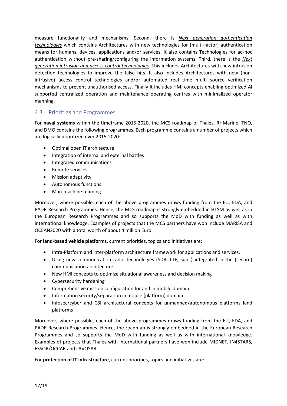measure functionality and mechanisms. Second, there is *Next generation authentication technologies* which contains Architectures with new technologies for (multi-factor) authentication means for humans, devices, applications and/or services. It also contains Technologies for ad-hoc authentication without pre-sharing/configuring the information systems. Third, there is the *Next generation intrusion and access control technologies*. This includes Architectures with new intrusion detection technologies to improve the false hits. It also includes Architectures with new (nonintrusive) access control technologies and/or automated real time multi source verification mechanisms to prevent unauthorised access. Finally it includes HMI concepts enabling optimized AI supported centralized operation and maintenance operating centres with minimalized operator manning.

#### <span id="page-16-0"></span>4.3 Priorities and Programmes

For **naval systems** within the timeframe 2015-2020, the MCS roadmap of Thales, RHMarine, TNO, and DMO contains the following programmes. Each programme contains a number of projects which are logically prioritized over 2015-2020:

- Optimal open IT architecture
- Integration of internal and external battles
- Integrated communications
- Remote services
- Mission adaptivity
- Autonomous functions
- Man-machine teaming

Moreover, where possible, each of the above programmes draws funding from the EU, EDA, and PADR Research Programmes. Hence, the MCS roadmap is strongly embedded in HTSM as well as in the European Research Programmes and so supports the MoD with funding as well as with international knowledge. Examples of projects that the MCS partners have won include MARISA and OCEAN2020 with a total worth of about 4 million Euro.

For **land-based vehicle platforms, c**urrent priorities, topics and initiatives are:

- Intra-Platform and inter-platform architecture framework for applications and services.
- Using new communication radio technologies (SDR, LTE, sub..) integrated in the (secure) communication architecture
- New HMI concepts to optimize situational awareness and decision making
- Cybersecurity hardening
- Comprehensive mission configuration for and in mobile domain.
- Information security/separation in mobile (platform) domain
- infosec/cyber and C8I architectural concepts for unmanned/autonomous platforms land platforms

Moreover, where possible, each of the above programmes draws funding from the EU, EDA, and PADR Research Programmes. Hence, the roadmap is strongly embedded in the European Research Programmes and so supports the MoD with funding as well as with international knowledge. Examples of projects that Thales with international partners have won include MIDNET, IN4STARS, ESSOR/OCCAR and LAVOSAR.

For **protection of IT infrastructure**, current priorities, topics and initiatives are: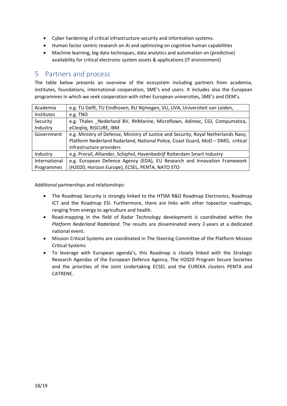- Cyber hardening of critical infrastructure security and information systems.
- Human factor centric research on AI and optimizing on cognitive human capabilities
- Machine learning, big data techniques, data analytics and automation on (predictive) availability for critical electronic system assets & applications (IT environment)

### <span id="page-17-0"></span>5 Partners and process

The table below presents an overview of the ecosystem including partners from academia, institutes, foundations, international cooperation, SME's end users. It includes also the European programmes in which we seek cooperation with other European universities, SME's and OEM's.

| Academia      | e.g. TU Delft, TU Eindhoven, RU Nijmegen, VU, UVA, Universiteit van Leiden,         |  |  |  |  |
|---------------|-------------------------------------------------------------------------------------|--|--|--|--|
| Institutes    | e.g. TNO                                                                            |  |  |  |  |
| Security      | e.g. Thales Nederland BV, RHMarine, Microflown, Adimec, CGI, Compumatica,           |  |  |  |  |
| Industry      | eCleqtiq, RISCURE, IBM                                                              |  |  |  |  |
| Government    | e.g. Ministry of Defense, Ministry of Justice and Security, Royal Netherlands Navy, |  |  |  |  |
|               | Platform Nederland Radarland, National Police, Coast Guard, MoD - DMO, critical     |  |  |  |  |
|               | infrastructure providers                                                            |  |  |  |  |
| Industry      | e.g. Prorail, Alliander, Schiphol, Havenbedrijf Rotterdam Smart Industry            |  |  |  |  |
| International | e.g. European Defence Agency (EDA), EU Research and Innovation Framework            |  |  |  |  |
| Programmes    | (H2020, Horizon Europe), ECSEL, PENTA, NATO STO                                     |  |  |  |  |

Additional partnerships and relationships:

- The Roadmap Security is strongly linked to the HTSM R&D Roadmap Electronics, Roadmap ICT and the Roadmap ESI. Furthermore, there are links with other topsector roadmaps, ranging from energy to agriculture and health.
- Road-mapping in the field of Radar Technology development is coordinated within the *Platform Nederland Radarland*. The results are disseminated every 2-years at a dedicated national event.
- Mission Critical Systems are coordinated in The Steering Committee of the Platform Mission Critical Systems
- To leverage with European agenda's, this Roadmap is closely linked with the Strategic Research Agendas of the European Defence Agency, The H2020 Program Secure Societies and the priorities of the Joint Undertaking ECSEL and the EUREKA clusters PENTA and CATRENE.